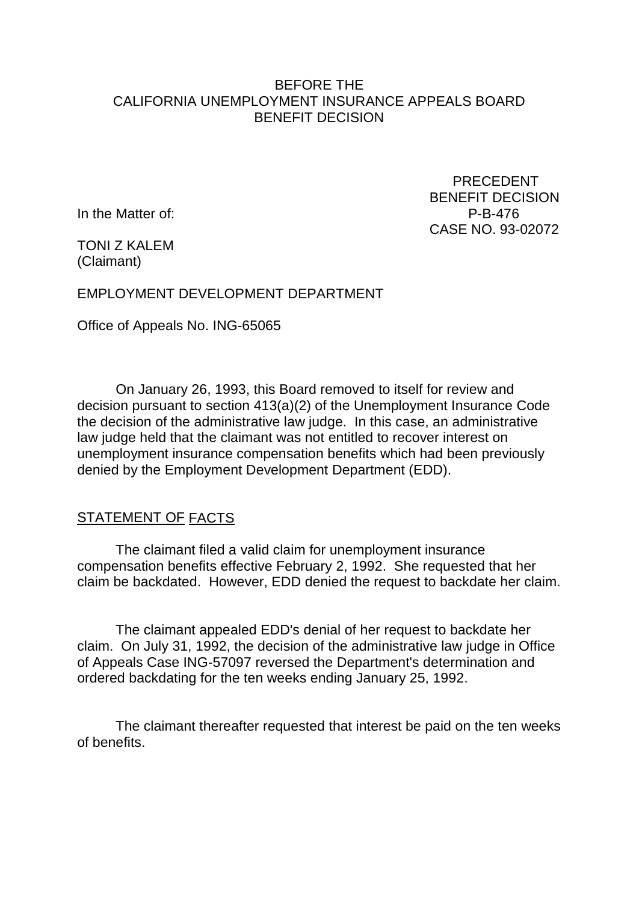#### BEFORE THE CALIFORNIA UNEMPLOYMENT INSURANCE APPEALS BOARD BENEFIT DECISION

In the Matter of: P-B-476

 PRECEDENT BENEFIT DECISION CASE NO. 93-02072

TONI Z KALEM (Claimant)

EMPLOYMENT DEVELOPMENT DEPARTMENT

Office of Appeals No. ING-65065

On January 26, 1993, this Board removed to itself for review and decision pursuant to section 413(a)(2) of the Unemployment Insurance Code the decision of the administrative law judge. In this case, an administrative law judge held that the claimant was not entitled to recover interest on unemployment insurance compensation benefits which had been previously denied by the Employment Development Department (EDD).

### STATEMENT OF FACTS

The claimant filed a valid claim for unemployment insurance compensation benefits effective February 2, 1992. She requested that her claim be backdated. However, EDD denied the request to backdate her claim.

The claimant appealed EDD's denial of her request to backdate her claim. On July 31, 1992, the decision of the administrative law judge in Office of Appeals Case ING-57097 reversed the Department's determination and ordered backdating for the ten weeks ending January 25, 1992.

The claimant thereafter requested that interest be paid on the ten weeks of benefits.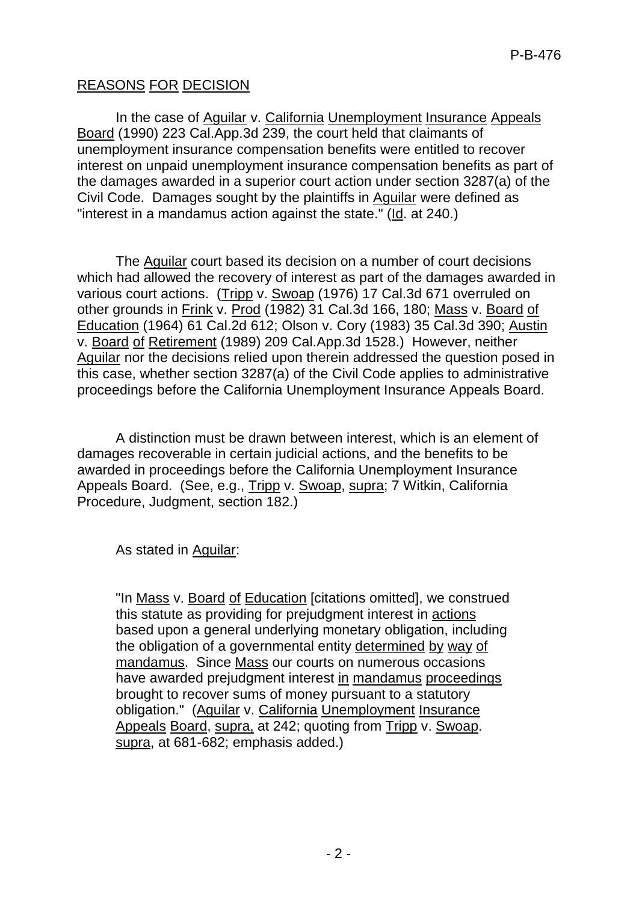# REASONS FOR DECISION

In the case of Aguilar v. California Unemployment Insurance Appeals Board (1990) 223 Cal.App.3d 239, the court held that claimants of unemployment insurance compensation benefits were entitled to recover interest on unpaid unemployment insurance compensation benefits as part of the damages awarded in a superior court action under section 3287(a) of the Civil Code. Damages sought by the plaintiffs in Aguilar were defined as "interest in a mandamus action against the state." (Id. at 240.)

The Aguilar court based its decision on a number of court decisions which had allowed the recovery of interest as part of the damages awarded in various court actions. (Tripp v. Swoap (1976) 17 Cal.3d 671 overruled on other grounds in Frink v. Prod (1982) 31 Cal.3d 166, 180; Mass v. Board of Education (1964) 61 Cal.2d 612; Olson v. Cory (1983) 35 Cal.3d 390; Austin v. Board of Retirement (1989) 209 Cal.App.3d 1528.) However, neither Aguilar nor the decisions relied upon therein addressed the question posed in this case, whether section 3287(a) of the Civil Code applies to administrative proceedings before the California Unemployment Insurance Appeals Board.

A distinction must be drawn between interest, which is an element of damages recoverable in certain judicial actions, and the benefits to be awarded in proceedings before the California Unemployment Insurance Appeals Board. (See, e.g., Tripp v. Swoap, supra; 7 Witkin, California Procedure, Judgment, section 182.)

As stated in Aguilar:

"In Mass v. Board of Education [citations omitted], we construed this statute as providing for prejudgment interest in actions based upon a general underlying monetary obligation, including the obligation of a governmental entity determined by way of mandamus. Since Mass our courts on numerous occasions have awarded prejudgment interest in mandamus proceedings brought to recover sums of money pursuant to a statutory obligation." (Aguilar v. California Unemployment Insurance Appeals Board, supra, at 242; quoting from Tripp v. Swoap. supra, at 681-682; emphasis added.)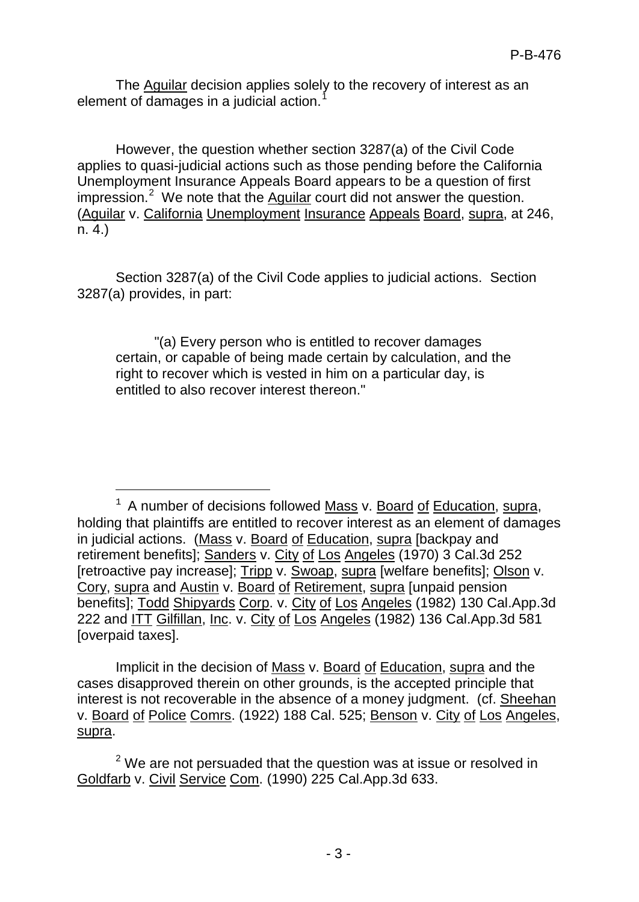The Aguilar decision applies solely to the recovery of interest as an element of damages in a judicial action.<sup>[1](#page-2-0)</sup>

However, the question whether section 3287(a) of the Civil Code applies to quasi-judicial actions such as those pending before the California Unemployment Insurance Appeals Board appears to be a question of first impression.<sup>[2](#page-2-1)</sup> We note that the  $\frac{1}{2}$  Aguilar court did not answer the question. (Aguilar v. California Unemployment Insurance Appeals Board, supra, at 246, n. 4.)

Section 3287(a) of the Civil Code applies to judicial actions. Section 3287(a) provides, in part:

"(a) Every person who is entitled to recover damages certain, or capable of being made certain by calculation, and the right to recover which is vested in him on a particular day, is entitled to also recover interest thereon."

—<br>—

Implicit in the decision of Mass v. Board of Education, supra and the cases disapproved therein on other grounds, is the accepted principle that interest is not recoverable in the absence of a money judgment. (cf. Sheehan v. Board of Police Comrs. (1922) 188 Cal. 525; Benson v. City of Los Angeles, supra.

<span id="page-2-1"></span> $2$  We are not persuaded that the question was at issue or resolved in Goldfarb v. Civil Service Com. (1990) 225 Cal.App.3d 633.

<span id="page-2-0"></span> $1$  A number of decisions followed Mass v. Board of Education, supra, holding that plaintiffs are entitled to recover interest as an element of damages in judicial actions. (Mass v. Board of Education, supra [backpay and retirement benefits]; Sanders v. City of Los Angeles (1970) 3 Cal.3d 252 [retroactive pay increase]; Tripp v. Swoap, supra [welfare benefits]; Olson v. Cory, supra and Austin v. Board of Retirement, supra [unpaid pension benefits]; Todd Shipyards Corp. v. City of Los Angeles (1982) 130 Cal.App.3d 222 and ITT Gilfillan, Inc. v. City of Los Angeles (1982) 136 Cal.App.3d 581 [overpaid taxes].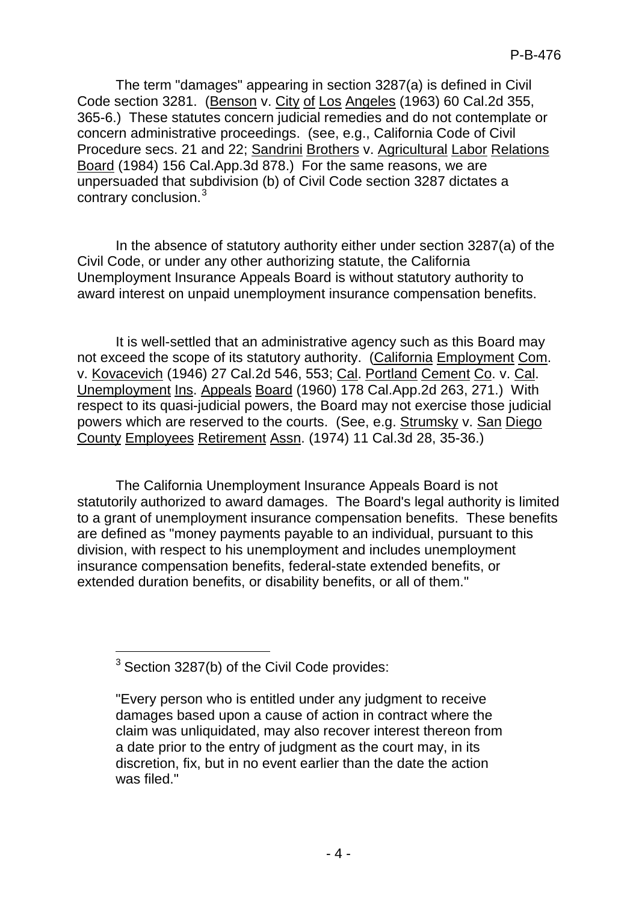The term "damages" appearing in section 3287(a) is defined in Civil Code section 3281. (Benson v. City of Los Angeles (1963) 60 Cal.2d 355, 365-6.) These statutes concern judicial remedies and do not contemplate or concern administrative proceedings. (see, e.g., California Code of Civil Procedure secs. 21 and 22; Sandrini Brothers v. Agricultural Labor Relations Board (1984) 156 Cal.App.3d 878.) For the same reasons, we are unpersuaded that subdivision (b) of Civil Code section 3287 dictates a contrary conclusion.[3](#page-3-0)

In the absence of statutory authority either under section 3287(a) of the Civil Code, or under any other authorizing statute, the California Unemployment Insurance Appeals Board is without statutory authority to award interest on unpaid unemployment insurance compensation benefits.

It is well-settled that an administrative agency such as this Board may not exceed the scope of its statutory authority. (California Employment Com. v. Kovacevich (1946) 27 Cal.2d 546, 553; Cal. Portland Cement Co. v. Cal. Unemployment Ins. Appeals Board (1960) 178 Cal.App.2d 263, 271.) With respect to its quasi-judicial powers, the Board may not exercise those judicial powers which are reserved to the courts. (See, e.g. Strumsky v. San Diego County Employees Retirement Assn. (1974) 11 Cal.3d 28, 35-36.)

The California Unemployment Insurance Appeals Board is not statutorily authorized to award damages. The Board's legal authority is limited to a grant of unemployment insurance compensation benefits. These benefits are defined as "money payments payable to an individual, pursuant to this division, with respect to his unemployment and includes unemployment insurance compensation benefits, federal-state extended benefits, or extended duration benefits, or disability benefits, or all of them."

-

<span id="page-3-0"></span><sup>&</sup>lt;sup>3</sup> Section 3287(b) of the Civil Code provides:

<sup>&</sup>quot;Every person who is entitled under any judgment to receive damages based upon a cause of action in contract where the claim was unliquidated, may also recover interest thereon from a date prior to the entry of judgment as the court may, in its discretion, fix, but in no event earlier than the date the action was filed."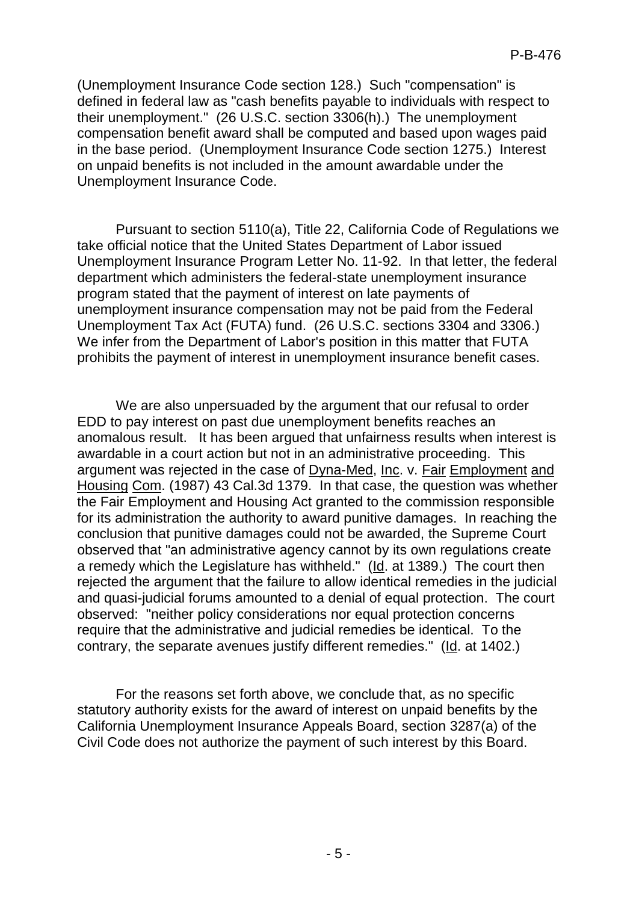(Unemployment Insurance Code section 128.) Such "compensation" is defined in federal law as "cash benefits payable to individuals with respect to their unemployment." (26 U.S.C. section 3306(h).) The unemployment compensation benefit award shall be computed and based upon wages paid in the base period. (Unemployment Insurance Code section 1275.) Interest on unpaid benefits is not included in the amount awardable under the Unemployment Insurance Code.

Pursuant to section 5110(a), Title 22, California Code of Regulations we take official notice that the United States Department of Labor issued Unemployment Insurance Program Letter No. 11-92. In that letter, the federal department which administers the federal-state unemployment insurance program stated that the payment of interest on late payments of unemployment insurance compensation may not be paid from the Federal Unemployment Tax Act (FUTA) fund. (26 U.S.C. sections 3304 and 3306.) We infer from the Department of Labor's position in this matter that FUTA prohibits the payment of interest in unemployment insurance benefit cases.

We are also unpersuaded by the argument that our refusal to order EDD to pay interest on past due unemployment benefits reaches an anomalous result. It has been argued that unfairness results when interest is awardable in a court action but not in an administrative proceeding. This argument was rejected in the case of Dyna-Med, Inc. v. Fair Employment and Housing Com. (1987) 43 Cal.3d 1379. In that case, the question was whether the Fair Employment and Housing Act granted to the commission responsible for its administration the authority to award punitive damages. In reaching the conclusion that punitive damages could not be awarded, the Supreme Court observed that "an administrative agency cannot by its own regulations create a remedy which the Legislature has withheld." (Id. at 1389.) The court then rejected the argument that the failure to allow identical remedies in the judicial and quasi-judicial forums amounted to a denial of equal protection. The court observed: "neither policy considerations nor equal protection concerns require that the administrative and judicial remedies be identical. To the contrary, the separate avenues justify different remedies." (Id. at 1402.)

For the reasons set forth above, we conclude that, as no specific statutory authority exists for the award of interest on unpaid benefits by the California Unemployment Insurance Appeals Board, section 3287(a) of the Civil Code does not authorize the payment of such interest by this Board.